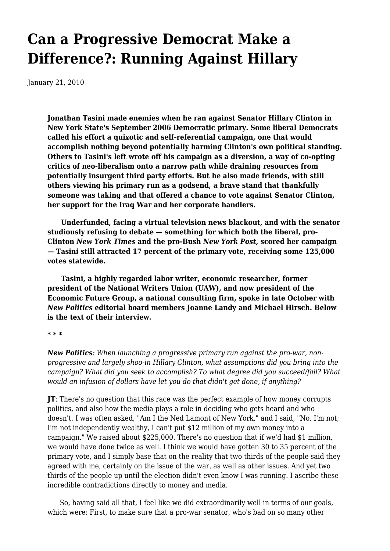# **[Can a Progressive Democrat Make a](https://newpol.org/issue_post/can-progressive-democrat-make-difference-running-against-hillary/) [Difference?: Running Against Hillary](https://newpol.org/issue_post/can-progressive-democrat-make-difference-running-against-hillary/)**

January 21, 2010

**Jonathan Tasini made enemies when he ran against Senator Hillary Clinton in New York State's September 2006 Democratic primary. Some liberal Democrats called his effort a quixotic and self-referential campaign, one that would accomplish nothing beyond potentially harming Clinton's own political standing. Others to Tasini's left wrote off his campaign as a diversion, a way of co-opting critics of neo-liberalism onto a narrow path while draining resources from potentially insurgent third party efforts. But he also made friends, with still others viewing his primary run as a godsend, a brave stand that thankfully someone was taking and that offered a chance to vote against Senator Clinton, her support for the Iraq War and her corporate handlers.**

 **Underfunded, facing a virtual television news blackout, and with the senator studiously refusing to debate — something for which both the liberal, pro-Clinton** *New York Times* **and the pro-Bush** *New York Post***, scored her campaign — Tasini still attracted 17 percent of the primary vote, receiving some 125,000 votes statewide.**

 **Tasini, a highly regarded labor writer, economic researcher, former president of the National Writers Union (UAW), and now president of the Economic Future Group, a national consulting firm, spoke in late October with** *New Politics* **editorial board members Joanne Landy and Michael Hirsch. Below is the text of their interview.**

**\* \* \***

*New Politics: When launching a progressive primary run against the pro-war, nonprogressive and largely shoo-in Hillary Clinton, what assumptions did you bring into the campaign? What did you seek to accomplish? To what degree did you succeed/fail? What would an infusion of dollars have let you do that didn't get done, if anything?*

**JT**: There's no question that this race was the perfect example of how money corrupts politics, and also how the media plays a role in deciding who gets heard and who doesn't. I was often asked, "Am I the Ned Lamont of New York," and I said, "No, I'm not; I'm not independently wealthy, I can't put \$12 million of my own money into a campaign." We raised about \$225,000. There's no question that if we'd had \$1 million, we would have done twice as well. I think we would have gotten 30 to 35 percent of the primary vote, and I simply base that on the reality that two thirds of the people said they agreed with me, certainly on the issue of the war, as well as other issues. And yet two thirds of the people up until the election didn't even know I was running. I ascribe these incredible contradictions directly to money and media.

 So, having said all that, I feel like we did extraordinarily well in terms of our goals, which were: First, to make sure that a pro-war senator, who's bad on so many other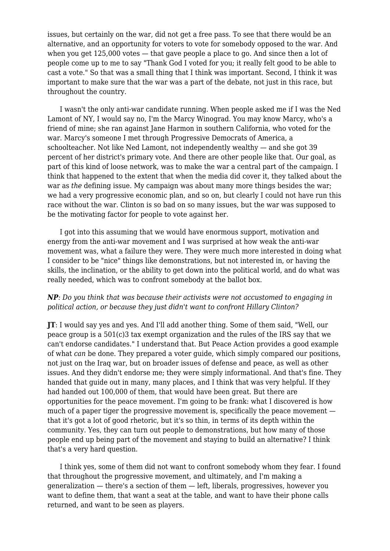issues, but certainly on the war, did not get a free pass. To see that there would be an alternative, and an opportunity for voters to vote for somebody opposed to the war. And when you get 125,000 votes — that gave people a place to go. And since then a lot of people come up to me to say "Thank God I voted for you; it really felt good to be able to cast a vote." So that was a small thing that I think was important. Second, I think it was important to make sure that the war was a part of the debate, not just in this race, but throughout the country.

 I wasn't the only anti-war candidate running. When people asked me if I was the Ned Lamont of NY, I would say no, I'm the Marcy Winograd. You may know Marcy, who's a friend of mine; she ran against Jane Harmon in southern California, who voted for the war. Marcy's someone I met through Progressive Democrats of America, a schoolteacher. Not like Ned Lamont, not independently wealthy — and she got 39 percent of her district's primary vote. And there are other people like that. Our goal, as part of this kind of loose network, was to make the war a central part of the campaign. I think that happened to the extent that when the media did cover it, they talked about the war as *the* defining issue. My campaign was about many more things besides the war; we had a very progressive economic plan, and so on, but clearly I could not have run this race without the war. Clinton is so bad on so many issues, but the war was supposed to be the motivating factor for people to vote against her.

 I got into this assuming that we would have enormous support, motivation and energy from the anti-war movement and I was surprised at how weak the anti-war movement was, what a failure they were. They were much more interested in doing what I consider to be "nice" things like demonstrations, but not interested in, or having the skills, the inclination, or the ability to get down into the political world, and do what was really needed, which was to confront somebody at the ballot box.

#### *NP: Do you think that was because their activists were not accustomed to engaging in political action, or because they just didn't want to confront Hillary Clinton?*

**JT**: I would say yes and yes. And I'll add another thing. Some of them said, "Well, our peace group is a 501(c)3 tax exempt organization and the rules of the IRS say that we can't endorse candidates." I understand that. But Peace Action provides a good example of what *can* be done. They prepared a voter guide, which simply compared our positions, not just on the Iraq war, but on broader issues of defense and peace, as well as other issues. And they didn't endorse me; they were simply informational. And that's fine. They handed that guide out in many, many places, and I think that was very helpful. If they had handed out 100,000 of them, that would have been great. But there are opportunities for the peace movement. I'm going to be frank: what I discovered is how much of a paper tiger the progressive movement is, specifically the peace movement that it's got a lot of good rhetoric, but it's so thin, in terms of its depth within the community. Yes, they can turn out people to demonstrations, but how many of those people end up being part of the movement and staying to build an alternative? I think that's a very hard question.

 I think yes, some of them did not want to confront somebody whom they fear. I found that throughout the progressive movement, and ultimately, and I'm making a generalization — there's a section of them — left, liberals, progressives, however you want to define them, that want a seat at the table, and want to have their phone calls returned, and want to be seen as players.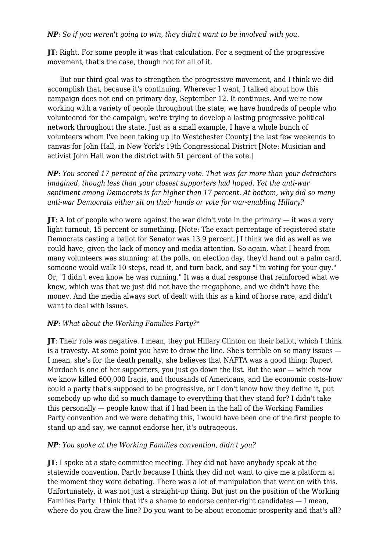*NP: So if you weren't going to win, they didn't want to be involved with you.*

**JT**: Right. For some people it was that calculation. For a segment of the progressive movement, that's the case, though not for all of it.

 But our third goal was to strengthen the progressive movement, and I think we did accomplish that, because it's continuing. Wherever I went, I talked about how this campaign does not end on primary day, September 12. It continues. And we're now working with a variety of people throughout the state; we have hundreds of people who volunteered for the campaign, we're trying to develop a lasting progressive political network throughout the state. Just as a small example, I have a whole bunch of volunteers whom I've been taking up [to Westchester County] the last few weekends to canvas for John Hall, in New York's 19th Congressional District [Note: Musician and activist John Hall won the district with 51 percent of the vote.]

*NP: You scored 17 percent of the primary vote. That was far more than your detractors imagined, though less than your closest supporters had hoped. Yet the anti-war sentiment among Democrats is far higher than 17 percent. At bottom, why did so many anti-war Democrats either sit on their hands or vote for war-enabling Hillary?*

**JT**: A lot of people who were against the war didn't vote in the primary — it was a very light turnout, 15 percent or something. [Note: The exact percentage of registered state Democrats casting a ballot for Senator was 13.9 percent.] I think we did as well as we could have, given the lack of money and media attention. So again, what I heard from many volunteers was stunning: at the polls, on election day, they'd hand out a palm card, someone would walk 10 steps, read it, and turn back, and say "I'm voting for your guy." Or, "I didn't even know he was running." It was a dual response that reinforced what we knew, which was that we just did not have the megaphone, and we didn't have the money. And the media always sort of dealt with this as a kind of horse race, and didn't want to deal with issues.

# *NP: What about the Working Families Party?\**

**JT**: Their role was negative. I mean, they put Hillary Clinton on their ballot, which I think is a travesty. At some point you have to draw the line. She's terrible on so many issues — I mean, she's for the death penalty, she believes that NAFTA was a good thing; Rupert Murdoch is one of her supporters, you just go down the list. But the *war* — which now we know killed 600,000 Iraqis, and thousands of Americans, and the economic costs–how could a party that's supposed to be progressive, or I don't know how they define it, put somebody up who did so much damage to everything that they stand for? I didn't take this personally — people know that if I had been in the hall of the Working Families Party convention and we were debating this, I would have been one of the first people to stand up and say, we cannot endorse her, it's outrageous.

#### *NP: You spoke at the Working Families convention, didn't you?*

**JT**: I spoke at a state committee meeting. They did not have anybody speak at the statewide convention. Partly because I think they did not want to give me a platform at the moment they were debating. There was a lot of manipulation that went on with this. Unfortunately, it was not just a straight-up thing. But just on the position of the Working Families Party. I think that it's a shame to endorse center-right candidates — I mean, where do you draw the line? Do you want to be about economic prosperity and that's all?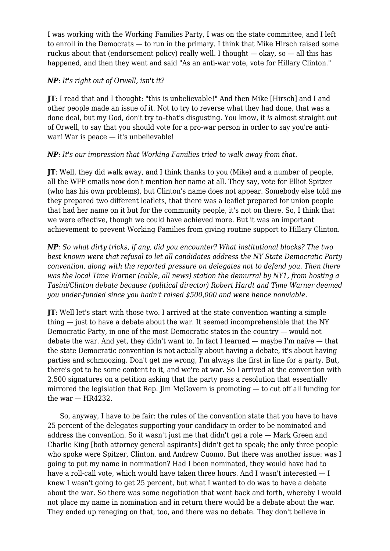I was working with the Working Families Party, I was on the state committee, and I left to enroll in the Democrats — to run in the primary. I think that Mike Hirsch raised some ruckus about that (endorsement policy) really well. I thought  $-$  okay, so  $-$  all this has happened, and then they went and said "As an anti-war vote, vote for Hillary Clinton."

#### *NP: It's right out of Orwell, isn't it?*

**JT**: I read that and I thought: "this is unbelievable!" And then Mike [Hirsch] and I and other people made an issue of it. Not to try to reverse what they had done, that was a done deal, but my God, don't try to–that's disgusting. You know, it *is* almost straight out of Orwell, to say that you should vote for a pro-war person in order to say you're antiwar! War is peace — it's unbelievable!

## *NP: It's our impression that Working Families tried to walk away from that.*

**JT**: Well, they did walk away, and I think thanks to you (Mike) and a number of people, all the WFP emails now don't mention her name at all. They say, vote for Elliot Spitzer (who has his own problems), but Clinton's name does not appear. Somebody else told me they prepared two different leaflets, that there was a leaflet prepared for union people that had her name on it but for the community people, it's not on there. So, I think that we were effective, though we could have achieved more. But it was an important achievement to prevent Working Families from giving routine support to Hillary Clinton.

*NP: So what dirty tricks, if any, did you encounter? What institutional blocks? The two best known were that refusal to let all candidates address the NY State Democratic Party convention, along with the reported pressure on delegates not to defend you. Then there was the local Time Warner (cable, all news) station the demurral by NY1, from hosting a Tasini/Clinton debate because (political director) Robert Hardt and Time Warner deemed you under-funded since you hadn't raised \$500,000 and were hence nonviable.*

**JT**: Well let's start with those two. I arrived at the state convention wanting a simple thing — just to have a debate about the war. It seemed incomprehensible that the NY Democratic Party, in one of the most Democratic states in the country — would not debate the war. And yet, they didn't want to. In fact I learned — maybe I'm naïve — that the state Democratic convention is not actually about having a debate, it's about having parties and schmoozing. Don't get me wrong, I'm always the first in line for a party. But, there's got to be some content to it, and we're at war. So I arrived at the convention with 2,500 signatures on a petition asking that the party pass a resolution that essentially mirrored the legislation that Rep. Jim McGovern is promoting — to cut off all funding for the war  $-$  HR4232.

 So, anyway, I have to be fair: the rules of the convention state that you have to have 25 percent of the delegates supporting your candidacy in order to be nominated and address the convention. So it wasn't just me that didn't get a role — Mark Green and Charlie King [both attorney general aspirants] didn't get to speak; the only three people who spoke were Spitzer, Clinton, and Andrew Cuomo. But there was another issue: was I going to put my name in nomination? Had I been nominated, they would have had to have a roll-call vote, which would have taken three hours. And I wasn't interested  $-1$ knew I wasn't going to get 25 percent, but what I wanted to do was to have a debate about the war. So there was some negotiation that went back and forth, whereby I would not place my name in nomination and in return there would be a debate about the war. They ended up reneging on that, too, and there was no debate. They don't believe in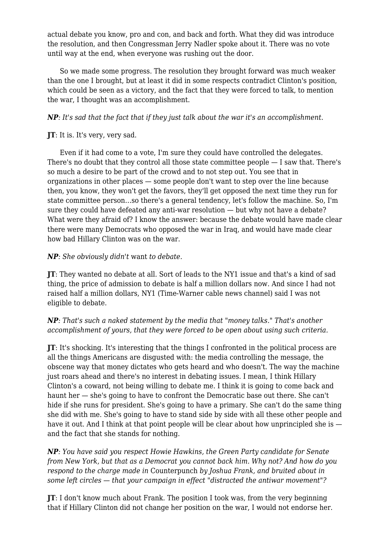actual debate you know, pro and con, and back and forth. What they did was introduce the resolution, and then Congressman Jerry Nadler spoke about it. There was no vote until way at the end, when everyone was rushing out the door.

 So we made some progress. The resolution they brought forward was much weaker than the one I brought, but at least it did in some respects contradict Clinton's position, which could be seen as a victory, and the fact that they were forced to talk, to mention the war, I thought was an accomplishment.

## *NP: It's sad that the fact that if they just talk about the war it's an accomplishment.*

#### **JT**: It is. It's very, very sad.

 Even if it had come to a vote, I'm sure they could have controlled the delegates. There's no doubt that they control all those state committee people — I saw that. There's so much a desire to be part of the crowd and to not step out. You see that in organizations in other places — some people don't want to step over the line because then, you know, they won't get the favors, they'll get opposed the next time they run for state committee person…so there's a general tendency, let's follow the machine. So, I'm sure they could have defeated any anti-war resolution — but why not have a debate? What were they afraid of? I know the answer: because the debate would have made clear there were many Democrats who opposed the war in Iraq, and would have made clear how bad Hillary Clinton was on the war.

## *NP: She obviously didn't* want *to debate.*

**JT**: They wanted no debate at all. Sort of leads to the NY1 issue and that's a kind of sad thing, the price of admission to debate is half a million dollars now. And since I had not raised half a million dollars, NY1 (Time-Warner cable news channel) said I was not eligible to debate.

## *NP: That's such a naked statement by the media that "money talks." That's another accomplishment of yours, that they were forced to be open about using such criteria.*

**JT**: It's shocking. It's interesting that the things I confronted in the political process are all the things Americans are disgusted with: the media controlling the message, the obscene way that money dictates who gets heard and who doesn't. The way the machine just roars ahead and there's no interest in debating issues. I mean, I think Hillary Clinton's a coward, not being willing to debate me. I think it is going to come back and haunt her — she's going to have to confront the Democratic base out there. She can't hide if she runs for president. She's going to have a primary. She can't do the same thing she did with me. She's going to have to stand side by side with all these other people and have it out. And I think at that point people will be clear about how unprincipled she is  $$ and the fact that she stands for nothing.

*NP: You have said you respect Howie Hawkins, the Green Party candidate for Senate from New York, but that as a Democrat you cannot back him. Why not? And how do you respond to the charge made in* Counterpunch *by Joshua Frank, and bruited about in some left circles — that your campaign in effect "distracted the antiwar movement"?*

**JT**: I don't know much about Frank. The position I took was, from the very beginning that if Hillary Clinton did not change her position on the war, I would not endorse her.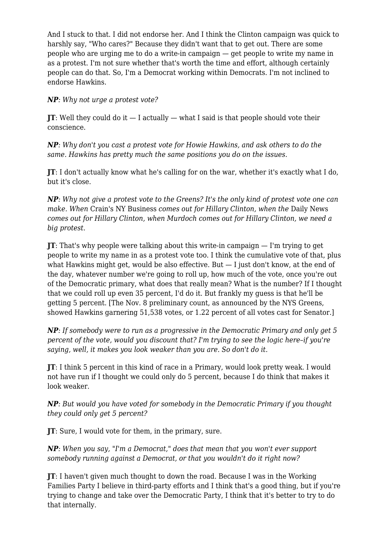And I stuck to that. I did not endorse her. And I think the Clinton campaign was quick to harshly say, "Who cares?" Because they didn't want that to get out. There are some people who are urging me to do a write-in campaign — get people to write my name in as a protest. I'm not sure whether that's worth the time and effort, although certainly people can do that. So, I'm a Democrat working within Democrats. I'm not inclined to endorse Hawkins.

*NP: Why not urge a protest vote?*

**JT**: Well they could do it  $-$  I actually  $-$  what I said is that people should vote their conscience.

*NP: Why don't you cast a protest vote for Howie Hawkins, and ask others to do the same. Hawkins has pretty much the same positions you do on the issues.*

**JT**: I don't actually know what he's calling for on the war, whether it's exactly what I do, but it's close.

*NP: Why not give a protest vote to the Greens? It's the only kind of protest vote one can make. When* Crain's NY Business *comes out for Hillary Clinton, when the* Daily News *comes out for Hillary Clinton, when Murdoch comes out for Hillary Clinton, we need a big protest.*

**JT**: That's why people were talking about this write-in campaign — I'm trying to get people to write my name in as a protest vote too. I think the cumulative vote of that, plus what Hawkins might get, would be also effective. But — I just don't know, at the end of the day, whatever number we're going to roll up, how much of the vote, once you're out of the Democratic primary, what does that really mean? What is the number? If I thought that we could roll up even 35 percent, I'd do it. But frankly my guess is that he'll be getting 5 percent. [The Nov. 8 preliminary count, as announced by the NYS Greens, showed Hawkins garnering 51,538 votes, or 1.22 percent of all votes cast for Senator.]

*NP: If somebody were to run as a progressive in the Democratic Primary and only get 5 percent of the vote, would you discount that? I'm trying to see the logic here–if you're saying, well, it makes you look weaker than you are. So don't do it.*

**JT**: I think 5 percent in this kind of race in a Primary, would look pretty weak. I would not have run if I thought we could only do 5 percent, because I do think that makes it look weaker.

*NP: But would you have voted for somebody in the Democratic Primary if you thought they could only get 5 percent?*

**JT**: Sure, I would vote for them, in the primary, sure.

*NP: When you say, "I'm a Democrat," does that mean that you won't ever support somebody running against a Democrat, or that you wouldn't do it right now?*

**JT**: I haven't given much thought to down the road. Because I was in the Working Families Party I believe in third-party efforts and I think that's a good thing, but if you're trying to change and take over the Democratic Party, I think that it's better to try to do that internally.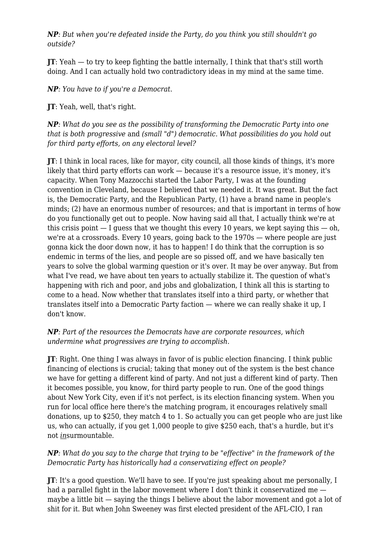*NP: But when you're defeated inside the Party, do you think you still shouldn't go outside?*

**JT**: Yeah — to try to keep fighting the battle internally, I think that that's still worth doing. And I can actually hold two contradictory ideas in my mind at the same time.

*NP: You have to if you're a Democrat.*

**JT**: Yeah, well, that's right.

*NP: What do you see as the possibility of transforming the Democratic Party into one that is both progressive* and *(small "d") democratic. What possibilities do you hold out for third party efforts, on any electoral level?*

**JT**: I think in local races, like for mayor, city council, all those kinds of things, it's more likely that third party efforts can work — because it's a resource issue, it's money, it's capacity. When Tony Mazzocchi started the Labor Party, I was at the founding convention in Cleveland, because I believed that we needed it. It was great. But the fact is, the Democratic Party, and the Republican Party, (1) have a brand name in people's minds; (2) have an enormous number of resources; and that is important in terms of how do you functionally get out to people. Now having said all that, I actually think we're at this crisis point  $-1$  quess that we thought this every 10 years, we kept saying this  $-$  oh, we're at a crossroads. Every 10 years, going back to the 1970s — where people are just gonna kick the door down now, it has to happen! I do think that the corruption is so endemic in terms of the lies, and people are so pissed off, and we have basically ten years to solve the global warming question or it's over. It may be over anyway. But from what I've read, we have about ten years to actually stabilize it. The question of what's happening with rich and poor, and jobs and globalization, I think all this is starting to come to a head. Now whether that translates itself into a third party, or whether that translates itself into a Democratic Party faction — where we can really shake it up, I don't know.

*NP: Part of the resources the Democrats have are corporate resources, which undermine what progressives are trying to accomplish.*

**JT**: Right. One thing I was always in favor of is public election financing. I think public financing of elections is crucial; taking that money out of the system is the best chance we have for getting a different kind of party. And not just a different kind of party. Then it becomes possible, you know, for third party people to run. One of the good things about New York City, even if it's not perfect, is its election financing system. When you run for local office here there's the matching program, it encourages relatively small donations, up to \$250, they match 4 to 1. So actually you can get people who are just like us, who can actually, if you get 1,000 people to give \$250 each, that's a hurdle, but it's not *in*surmountable.

## *NP: What do you say to the charge that trying to be "effective" in the framework of the Democratic Party has historically had a conservatizing effect on people?*

**JT**: It's a good question. We'll have to see. If you're just speaking about me personally, I had a parallel fight in the labor movement where I don't think it conservatized me maybe a little bit — saying the things I believe about the labor movement and got a lot of shit for it. But when John Sweeney was first elected president of the AFL-CIO, I ran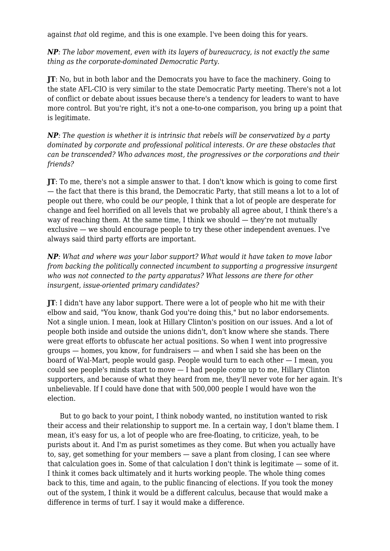against *that* old regime, and this is one example. I've been doing this for years.

*NP: The labor movement, even with its layers of bureaucracy, is not exactly the same thing as the corporate-dominated Democratic Party.*

**JT**: No, but in both labor and the Democrats you have to face the machinery. Going to the state AFL-CIO is very similar to the state Democratic Party meeting. There's not a lot of conflict or debate about issues because there's a tendency for leaders to want to have more control. But you're right, it's not a one-to-one comparison, you bring up a point that is legitimate.

*NP: The question is whether it is intrinsic that rebels will be conservatized by a party dominated by corporate and professional political interests. Or are these obstacles that can be transcended? Who advances most, the progressives or the corporations and their friends?*

**JT**: To me, there's not a simple answer to that. I don't know which is going to come first — the fact that there is this brand, the Democratic Party, that still means a lot to a lot of people out there, who could be *our* people, I think that a lot of people are desperate for change and feel horrified on all levels that we probably all agree about, I think there's a way of reaching them. At the same time, I think we should — they're not mutually exclusive — we should encourage people to try these other independent avenues. I've always said third party efforts are important.

*NP: What and where was your labor support? What would it have taken to move labor from backing the politically connected incumbent to supporting a progressive insurgent who was not connected to the party apparatus? What lessons are there for other insurgent, issue-oriented primary candidates?*

**JT**: I didn't have any labor support. There were a lot of people who hit me with their elbow and said, "You know, thank God you're doing this," but no labor endorsements. Not a single union. I mean, look at Hillary Clinton's position on our issues. And a lot of people both inside and outside the unions didn't, don't know where she stands. There were great efforts to obfuscate her actual positions. So when I went into progressive groups — homes, you know, for fundraisers — and when I said she has been on the board of Wal-Mart, people would gasp. People would turn to each other — I mean, you could see people's minds start to move — I had people come up to me, Hillary Clinton supporters, and because of what they heard from me, they'll never vote for her again. It's unbelievable. If I could have done that with 500,000 people I would have won the election.

 But to go back to your point, I think nobody wanted, no institution wanted to risk their access and their relationship to support me. In a certain way, I don't blame them. I mean, it's easy for us, a lot of people who are free-floating, to criticize, yeah, to be purists about it. And I'm as purist sometimes as they come. But when you actually have to, say, get something for your members — save a plant from closing, I can see where that calculation goes in. Some of that calculation I don't think is legitimate — some of it. I think it comes back ultimately and it hurts working people. The whole thing comes back to this, time and again, to the public financing of elections. If you took the money out of the system, I think it would be a different calculus, because that would make a difference in terms of turf. I say it would make a difference.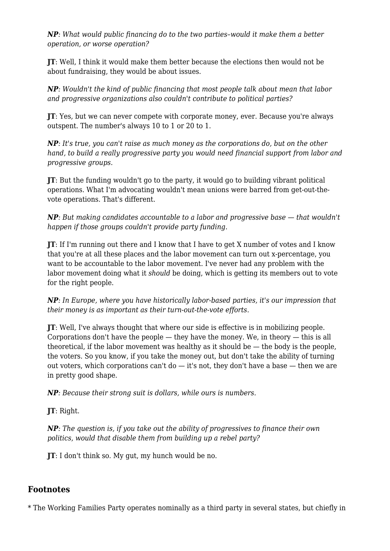*NP: What would public financing do to the two parties–would it make them a better operation, or worse operation?*

**JT**: Well, I think it would make them better because the elections then would not be about fundraising, they would be about issues.

*NP: Wouldn't the kind of public financing that most people talk about mean that labor and progressive organizations also couldn't contribute to political parties?*

**JT**: Yes, but we can never compete with corporate money, ever. Because you're always outspent. The number's always 10 to 1 or 20 to 1.

*NP: It's true, you can't raise as much money as the corporations do, but on the other hand, to build a really progressive party you would need financial support from labor and progressive groups.*

**JT**: But the funding wouldn't go to the party, it would go to building vibrant political operations. What I'm advocating wouldn't mean unions were barred from get-out-thevote operations. That's different.

*NP: But making candidates accountable to a labor and progressive base — that wouldn't happen if those groups couldn't provide party funding.*

**JT**: If I'm running out there and I know that I have to get X number of votes and I know that you're at all these places and the labor movement can turn out x-percentage, you want to be accountable to the labor movement. I've never had any problem with the labor movement doing what it *should* be doing, which is getting its members out to vote for the right people.

*NP: In Europe, where you have historically labor-based parties, it's our impression that their money is as important as their turn-out-the-vote efforts.*

**JT**: Well, I've always thought that where our side is effective is in mobilizing people. Corporations don't have the people — they have the money. We, in theory — this is all theoretical, if the labor movement was healthy as it should be  $-$  the body is the people, the voters. So you know, if you take the money out, but don't take the ability of turning out voters, which corporations can't do  $-$  it's not, they don't have a base  $-$  then we are in pretty good shape.

*NP: Because their strong suit is dollars, while ours is numbers.*

**JT**: Right.

*NP: The question is, if you take out the ability of progressives to finance their own politics, would that disable them from building up a rebel party?*

**JT**: I don't think so. My gut, my hunch would be no.

# **Footnotes**

\* The Working Families Party operates nominally as a third party in several states, but chiefly in